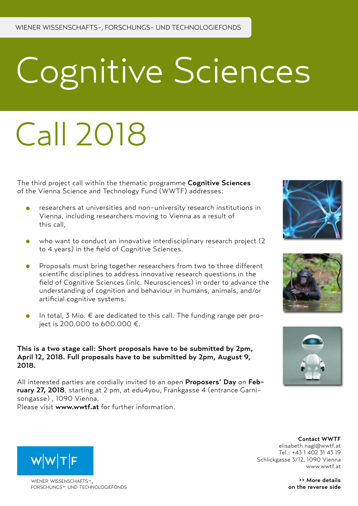# Cognitive Sciences

## Call 2018

The third project call within the thematic programme Cognitive Sciences of the Vienna Science and Technology Fund (WWTF) addresses:

- researchers at universities and non-university research institutions in Vienna, including researchers moving to Vienna as a result of this call,
- who want to conduct an innovative interdisciplinary research project (2 to 4 years) in the field of Cognitive Sciences.
- Proposals must bring together researchers from two to three different  $\bullet$ scientific disciplines to address innovative research questions in the field of Cognitive Sciences (inlc. Neurosciences) in order to advance the understanding of cognition and behaviour in humans, animals, and/or artificial cognitive systems.
- In total, 3 Mio.  $\epsilon$  are dedicated to this call. The funding range per project is 200.000 to 600.000 €.

### This is a two stage call: Short proposals have to be submitted by 2pm, April 12, 2018. Full proposals have to be submitted by 2pm, August 9, 2018.

All interested parties are cordially invited to an open Proposers' Day on February 27, 2018, starting at 2 pm, at edu4you, Frankgasse 4 (entrance Garnisongasse) , 1090 Vienna. Please visit www.wwtf.at for further information.









>> More details on the reverse side